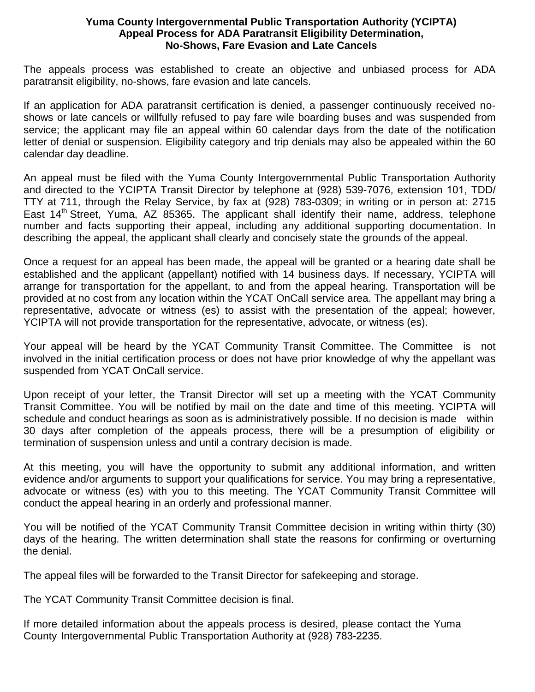## **Yuma County Intergovernmental Public Transportation Authority (YCIPTA) Appeal Process for ADA Paratransit Eligibility Determination, No-Shows, Fare Evasion and Late Cancels**

The appeals process was established to create an objective and unbiased process for ADA paratransit eligibility, no-shows, fare evasion and late cancels.

If an application for ADA paratransit certification is denied, a passenger continuously received noshows or late cancels or willfully refused to pay fare wile boarding buses and was suspended from service; the applicant may file an appeal within 60 calendar days from the date of the notification letter of denial or suspension. Eligibility category and trip denials may also be appealed within the 60 calendar day deadline.

An appeal must be filed with the Yuma County Intergovernmental Public Transportation Authority and directed to the YCIPTA Transit Director by telephone at (928) 539-7076, extension 101, TDD/ TTY at 711, through the Relay Service, by fax at (928) 783-0309; in writing or in person at: 2715 East  $14<sup>th</sup>$  Street, Yuma, AZ 85365. The applicant shall identify their name, address, telephone number and facts supporting their appeal, including any additional supporting documentation. In describing the appeal, the applicant shall clearly and concisely state the grounds of the appeal.

Once a request for an appeal has been made, the appeal will be granted or a hearing date shall be established and the applicant (appellant) notified with 14 business days. If necessary, YCIPTA will arrange for transportation for the appellant, to and from the appeal hearing. Transportation will be provided at no cost from any location within the YCAT OnCall service area. The appellant may bring a representative, advocate or witness (es) to assist with the presentation of the appeal; however, YCIPTA will not provide transportation for the representative, advocate, or witness (es).

Your appeal will be heard by the YCAT Community Transit Committee. The Committee is not involved in the initial certification process or does not have prior knowledge of why the appellant was suspended from YCAT OnCall service.

Upon receipt of your letter, the Transit Director will set up a meeting with the YCAT Community Transit Committee. You will be notified by mail on the date and time of this meeting. YCIPTA will schedule and conduct hearings as soon as is administratively possible. If no decision is made within 30 days after completion of the appeals process, there will be a presumption of eligibility or termination of suspension unless and until a contrary decision is made.

At this meeting, you will have the opportunity to submit any additional information, and written evidence and/or arguments to support your qualifications for service. You may bring a representative, advocate or witness (es) with you to this meeting. The YCAT Community Transit Committee will conduct the appeal hearing in an orderly and professional manner.

You will be notified of the YCAT Community Transit Committee decision in writing within thirty (30) days of the hearing. The written determination shall state the reasons for confirming or overturning the denial.

The appeal files will be forwarded to the Transit Director for safekeeping and storage.

The YCAT Community Transit Committee decision is final.

If more detailed information about the appeals process is desired, please contact the Yuma County Intergovernmental Public Transportation Authority at (928) 783-2235.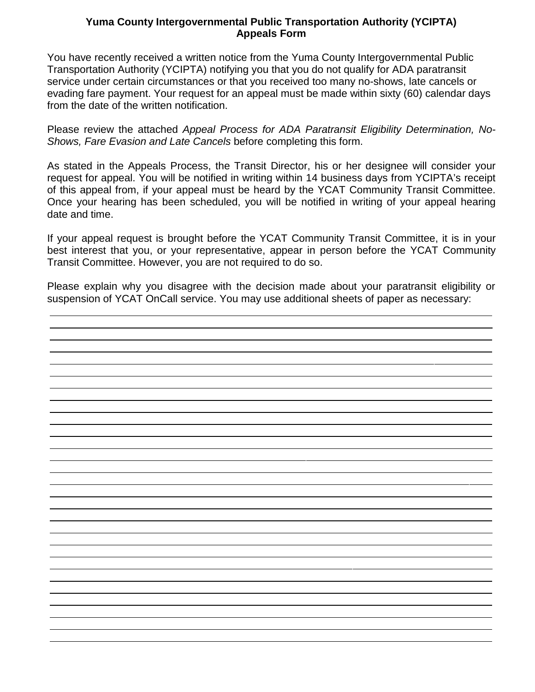## **Yuma County Intergovernmental Public Transportation Authority (YCIPTA) Appeals Form**

You have recently received a written notice from the Yuma County Intergovernmental Public Transportation Authority (YCIPTA) notifying you that you do not qualify for ADA paratransit service under certain circumstances or that you received too many no-shows, late cancels or evading fare payment. Your request for an appeal must be made within sixty (60) calendar days from the date of the written notification.

Please review the attached *Appeal Process for ADA Paratransit Eligibility Determination, No-Shows, Fare Evasion and Late Cancels* before completing this form.

As stated in the Appeals Process, the Transit Director, his or her designee will consider your request for appeal. You will be notified in writing within 14 business days from YCIPTA's receipt of this appeal from, if your appeal must be heard by the YCAT Community Transit Committee. Once your hearing has been scheduled, you will be notified in writing of your appeal hearing date and time.

If your appeal request is brought before the YCAT Community Transit Committee, it is in your best interest that you, or your representative, appear in person before the YCAT Community Transit Committee. However, you are not required to do so.

Please explain why you disagree with the decision made about your paratransit eligibility or suspension of YCAT OnCall service. You may use additional sheets of paper as necessary: